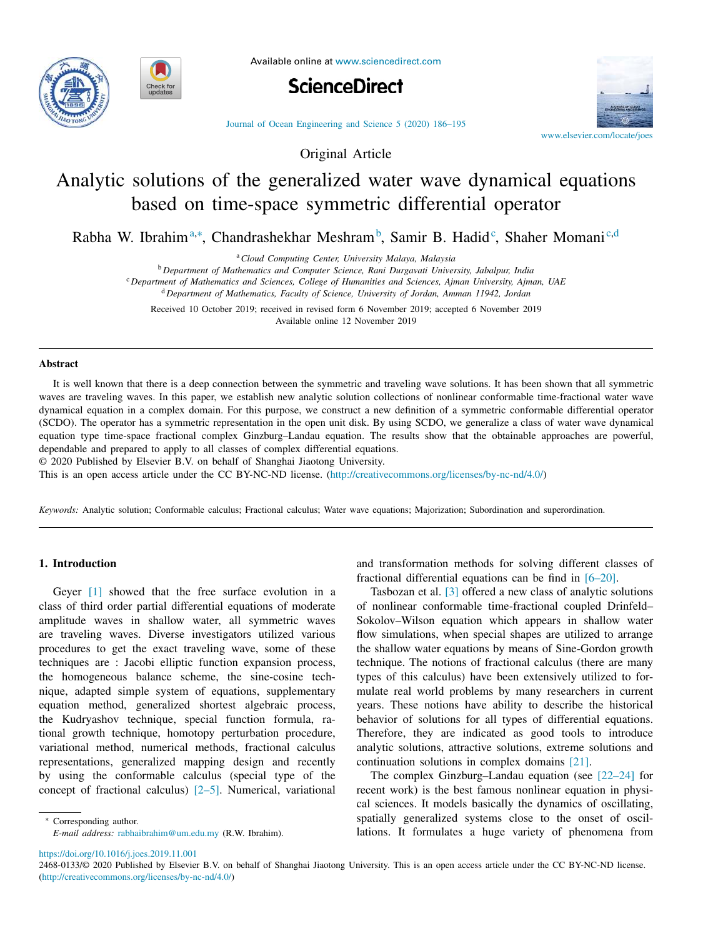



Available online at www.sciencedirect.com



Journal of Ocean Engineering and Science 5 (2020) 186–195

Original Article



# Analytic solutions of the generalized water wave dynamical equations based on time-space symmetric differential operator

Rabha W. Ibrahim<sup>a,∗</sup>, Chandrashekhar Meshram<sup>b</sup>, Samir B. Hadid<sup>c</sup>, Shaher Momani<sup>c,d</sup>

<sup>a</sup>*Cloud Computing Center, University Malaya, Malaysia*

<sup>b</sup> *Department of Mathematics and Computer Science, Rani Durgavati University, Jabalpur, India*

<sup>c</sup> *Department of Mathematics and Sciences, College of Humanities and Sciences, Ajman University, Ajman, UAE*

<sup>d</sup> *Department of Mathematics, Faculty of Science, University of Jordan, Amman 11942, Jordan*

Received 10 October 2019; received in revised form 6 November 2019; accepted 6 November 2019 Available online 12 November 2019

## **Abstract**

It is well known that there is a deep connection between the symmetric and traveling wave solutions. It has been shown that all symmetric waves are traveling waves. In this paper, we establish new analytic solution collections of nonlinear conformable time-fractional water wave dynamical equation in a complex domain. For this purpose, we construct a new definition of a symmetric conformable differential operator (SCDO). The operator has a symmetric representation in the open unit disk. By using SCDO, we generalize a class of water wave dynamical equation type time-space fractional complex Ginzburg–Landau equation. The results show that the obtainable approaches are powerful, dependable and prepared to apply to all classes of complex differential equations.

© 2020 Published by Elsevier B.V. on behalf of Shanghai Jiaotong University.

This is an open access article under the CC BY-NC-ND license. (http://creativecommons.org/licenses/by-nc-nd/4.0/)

*Keywords:* Analytic solution; Conformable calculus; Fractional calculus; Water wave equations; Majorization; Subordination and superordination.

## **1. Introduction**

Geyer [1] showed that the free surface evolution in a class of third order partial differential equations of moderate amplitude waves in shallow water, all symmetric waves are traveling waves. Diverse investigators utilized various procedures to get the exact traveling wave, some of these techniques are : Jacobi elliptic function expansion process, the homogeneous balance scheme, the sine-cosine technique, adapted simple system of equations, supplementary equation method, generalized shortest algebraic process, the Kudryashov technique, special function formula, rational growth technique, homotopy perturbation procedure, variational method, numerical methods, fractional calculus representations, generalized mapping design and recently by using the conformable calculus (special type of the concept of fractional calculus) [2–5]. Numerical, variational

∗ Corresponding author. *E-mail address:* rabhaibrahim@um.edu.my (R.W. Ibrahim). and transformation methods for solving different classes of fractional differential equations can be find in [6–20].

Tasbozan et al. [3] offered a new class of analytic solutions of nonlinear conformable time-fractional coupled Drinfeld– Sokolov–Wilson equation which appears in shallow water flow simulations, when special shapes are utilized to arrange the shallow water equations by means of Sine-Gordon growth technique. The notions of fractional calculus (there are many types of this calculus) have been extensively utilized to formulate real world problems by many researchers in current years. These notions have ability to describe the historical behavior of solutions for all types of differential equations. Therefore, they are indicated as good tools to introduce analytic solutions, attractive solutions, extreme solutions and continuation solutions in complex domains [21].

The complex Ginzburg–Landau equation (see [22–24] for recent work) is the best famous nonlinear equation in physical sciences. It models basically the dynamics of oscillating, spatially generalized systems close to the onset of oscillations. It formulates a huge variety of phenomena from

https://doi.org/10.1016/j.joes.2019.11.001

2468-0133/© 2020 Published by Elsevier B.V. on behalf of Shanghai Jiaotong University. This is an open access article under the CC BY-NC-ND license. (http://creativecommons.org/licenses/by-nc-nd/4.0/)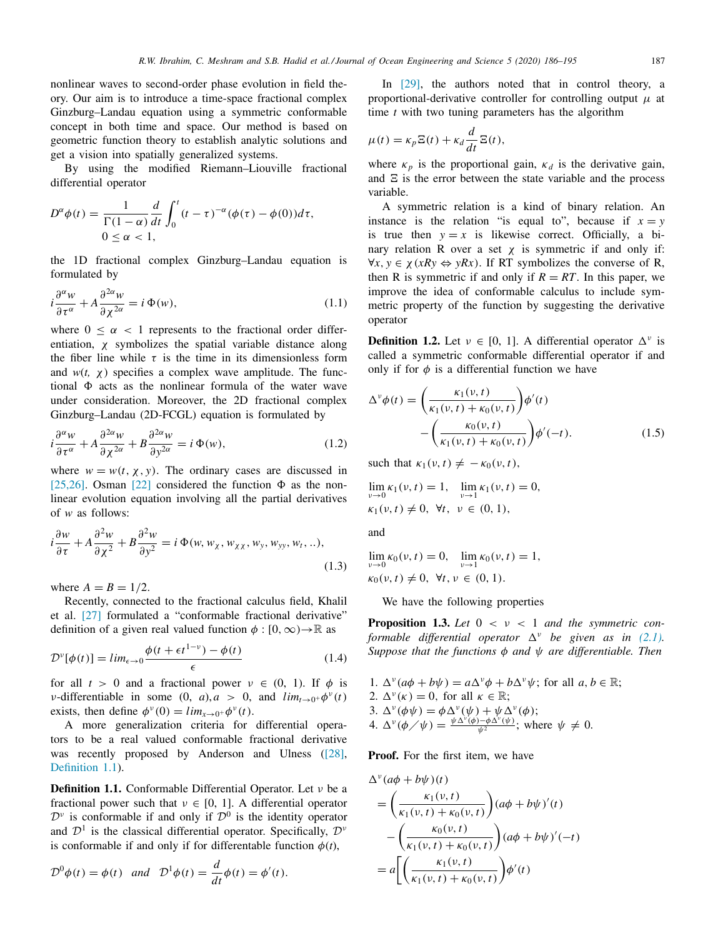nonlinear waves to second-order phase evolution in field theory. Our aim is to introduce a time-space fractional complex Ginzburg–Landau equation using a symmetric conformable concept in both time and space. Our method is based on geometric function theory to establish analytic solutions and get a vision into spatially generalized systems.

By using the modified Riemann–Liouville fractional differential operator

$$
D^{\alpha}\phi(t) = \frac{1}{\Gamma(1-\alpha)}\frac{d}{dt}\int_0^t (t-\tau)^{-\alpha}(\phi(\tau)-\phi(0))d\tau,
$$
  
0 \le \alpha < 1,

the 1D fractional complex Ginzburg–Landau equation is formulated by

$$
i\frac{\partial^{\alpha}w}{\partial \tau^{\alpha}} + A\frac{\partial^{2\alpha}w}{\partial \chi^{2\alpha}} = i\,\Phi(w),\tag{1.1}
$$

where  $0 \leq \alpha < 1$  represents to the fractional order differentiation,  $\chi$  symbolizes the spatial variable distance along the fiber line while  $\tau$  is the time in its dimensionless form and  $w(t, \chi)$  specifies a complex wave amplitude. The functional  $\Phi$  acts as the nonlinear formula of the water wave under consideration. Moreover, the 2D fractional complex Ginzburg–Landau (2D-FCGL) equation is formulated by

$$
i\frac{\partial^{\alpha}w}{\partial \tau^{\alpha}} + A\frac{\partial^{2\alpha}w}{\partial \chi^{2\alpha}} + B\frac{\partial^{2\alpha}w}{\partial \chi^{2\alpha}} = i\,\Phi(w),\tag{1.2}
$$

where  $w = w(t, \chi, y)$ . The ordinary cases are discussed in [25,26]. Osman [22] considered the function  $\Phi$  as the nonlinear evolution equation involving all the partial derivatives of *w* as follows:

$$
i\frac{\partial w}{\partial \tau} + A \frac{\partial^2 w}{\partial \chi^2} + B \frac{\partial^2 w}{\partial y^2} = i \Phi(w, w_\chi, w_{\chi\chi}, w_y, w_{yy}, w_t, ...),
$$
\n(1.3)

where  $A = B = 1/2$ .

Recently, connected to the fractional calculus field, Khalil et al. [27] formulated a "conformable fractional derivative" definition of a given real valued function  $\phi : [0, \infty) \rightarrow \mathbb{R}$  as

$$
\mathcal{D}^{\nu}[\phi(t)] = lim_{\epsilon \to 0} \frac{\phi(t + \epsilon t^{1-\nu}) - \phi(t)}{\epsilon}
$$
\n(1.4)

for all  $t > 0$  and a fractional power  $v \in (0, 1)$ . If  $\phi$  is *v*-differentiable in some  $(0, a), a > 0$ , and  $\lim_{t \to 0^+} \phi^v(t)$ exists, then define  $\phi^{\nu}(0) = \lim_{x \to 0^+} \phi^{\nu}(t)$ .

A more generalization criteria for differential operators to be a real valued conformable fractional derivative was recently proposed by Anderson and Ulness ([28], Definition 1.1).

**Definition 1.1.** Conformable Differential Operator. Let ν be a fractional power such that  $v \in [0, 1]$ . A differential operator  $\mathcal{D}^{\nu}$  is conformable if and only if  $\mathcal{D}^{0}$  is the identity operator and  $\mathcal{D}^1$  is the classical differential operator. Specifically,  $\mathcal{D}^{\nu}$ is conformable if and only if for differentable function  $\phi(t)$ ,

$$
\mathcal{D}^0\phi(t) = \phi(t) \quad \text{and} \quad \mathcal{D}^1\phi(t) = \frac{d}{dt}\phi(t) = \phi'(t).
$$

In [29], the authors noted that in control theory, a proportional-derivative controller for controlling output  $\mu$  at time *t* with two tuning parameters has the algorithm

$$
\mu(t) = \kappa_p \mathbf{E}(t) + \kappa_d \frac{d}{dt} \mathbf{E}(t),
$$

where  $\kappa_p$  is the proportional gain,  $\kappa_d$  is the derivative gain, and  $\Xi$  is the error between the state variable and the process variable.

A symmetric relation is a kind of binary relation. An instance is the relation "is equal to", because if  $x = y$ is true then  $y = x$  is likewise correct. Officially, a binary relation R over a set  $\chi$  is symmetric if and only if:  $\forall x, y \in \chi(xRy \Leftrightarrow yRx)$ . If RT symbolizes the converse of R, then R is symmetric if and only if  $R = RT$ . In this paper, we improve the idea of conformable calculus to include symmetric property of the function by suggesting the derivative operator

**Definition 1.2.** Let  $v \in [0, 1]$ . A differential operator  $\Delta^v$  is called a symmetric conformable differential operator if and only if for  $\phi$  is a differential function we have

$$
\Delta^{\nu}\phi(t) = \left(\frac{\kappa_1(\nu, t)}{\kappa_1(\nu, t) + \kappa_0(\nu, t)}\right)\phi'(t) - \left(\frac{\kappa_0(\nu, t)}{\kappa_1(\nu, t) + \kappa_0(\nu, t)}\right)\phi'(-t).
$$
\n(1.5)

such that  $\kappa_1(v,t) \neq -\kappa_0(v,t)$ ,

$$
\lim_{\nu \to 0} \kappa_1(\nu, t) = 1, \quad \lim_{\nu \to 1} \kappa_1(\nu, t) = 0, \n\kappa_1(\nu, t) \neq 0, \quad \forall t, \quad \nu \in (0, 1),
$$

and

$$
\lim_{\nu \to 0} \kappa_0(\nu, t) = 0, \quad \lim_{\nu \to 1} \kappa_0(\nu, t) = 1,
$$
  

$$
\kappa_0(\nu, t) \neq 0, \ \forall t, \nu \in (0, 1).
$$

We have the following properties

**Proposition 1.3.** Let  $0 < v < 1$  and the symmetric con*formable* differential operator  $\Delta^{\nu}$  be given as in (2.1). *Suppose that the functions* φ *and* ψ *are differentiable. Then*

1.  $\Delta^{\nu}(a\phi + b\psi) = a\Delta^{\nu}\phi + b\Delta^{\nu}\psi$ ; for all  $a, b \in \mathbb{R}$ ; 2.  $\Delta^{\nu}(\kappa) = 0$ , for all  $\kappa \in \mathbb{R}$ ; 3.  $\Delta^{\nu}(\phi\psi) = \phi \Delta^{\nu}(\psi) + \psi \Delta^{\nu}(\phi);$ 4.  $\Delta^{\nu}(\phi \diagup \psi) = \frac{\psi \Delta^{\nu}(\phi) - \phi \Delta^{\nu}(\psi)}{\psi^2}$ ; where  $\psi \neq 0$ .

**Proof.** For the first item, we have

$$
\Delta^{v}(a\phi + b\psi)(t)
$$
\n
$$
= \left(\frac{\kappa_{1}(v, t)}{\kappa_{1}(v, t) + \kappa_{0}(v, t)}\right) (a\phi + b\psi)'(t)
$$
\n
$$
- \left(\frac{\kappa_{0}(v, t)}{\kappa_{1}(v, t) + \kappa_{0}(v, t)}\right) (a\phi + b\psi)'(-t)
$$
\n
$$
= a \left[ \left(\frac{\kappa_{1}(v, t)}{\kappa_{1}(v, t) + \kappa_{0}(v, t)}\right) \phi'(t) \right]
$$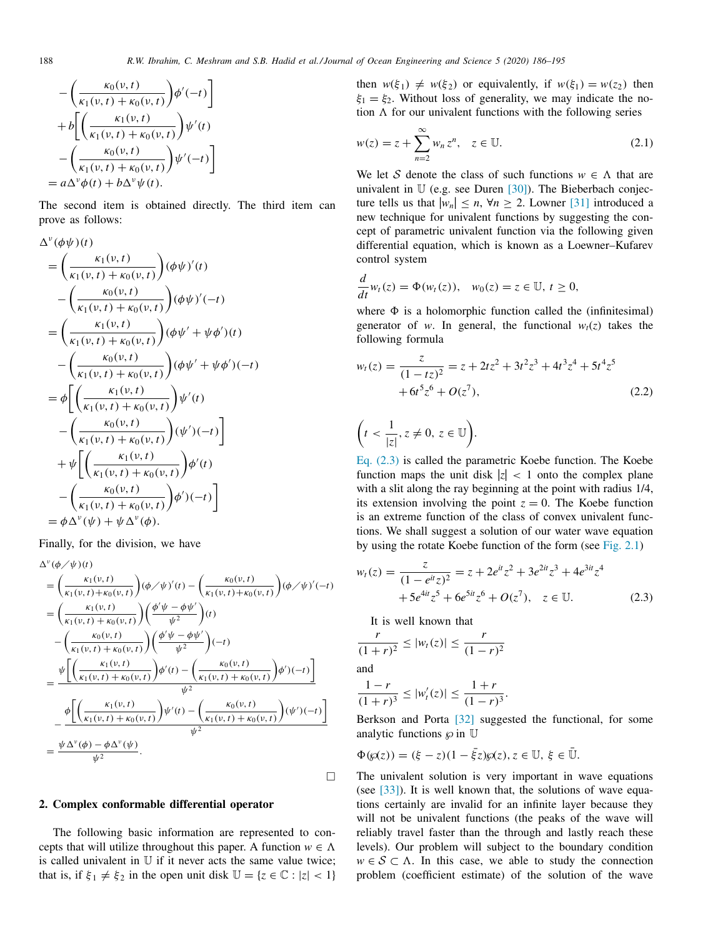$$
-\left(\frac{\kappa_0(\nu,t)}{\kappa_1(\nu,t) + \kappa_0(\nu,t)}\right)\phi'(-t)
$$
  
+
$$
b\left[\left(\frac{\kappa_1(\nu,t)}{\kappa_1(\nu,t) + \kappa_0(\nu,t)}\right)\psi'(t)\right]
$$
  
-
$$
\left(\frac{\kappa_0(\nu,t)}{\kappa_1(\nu,t) + \kappa_0(\nu,t)}\right)\psi'(-t)
$$
  
= $a\Delta^{\nu}\phi(t) + b\Delta^{\nu}\psi(t).$ 

The second item is obtained directly. The third item can prove as follows:

$$
\Delta^{\nu}(\phi\psi)(t) = \left(\frac{\kappa_1(\nu, t)}{\kappa_1(\nu, t) + \kappa_0(\nu, t)}\right)(\phi\psi)'(t) \n- \left(\frac{\kappa_0(\nu, t)}{\kappa_1(\nu, t) + \kappa_0(\nu, t)}\right)(\phi\psi)'(-t) \n= \left(\frac{\kappa_1(\nu, t)}{\kappa_1(\nu, t) + \kappa_0(\nu, t)}\right)(\phi\psi' + \psi\phi')(t) \n- \left(\frac{\kappa_0(\nu, t)}{\kappa_1(\nu, t) + \kappa_0(\nu, t)}\right)(\phi\psi' + \psi\phi')(-t) \n= \phi\left[\left(\frac{\kappa_1(\nu, t)}{\kappa_1(\nu, t) + \kappa_0(\nu, t)}\right)\psi'(t) \n- \left(\frac{\kappa_0(\nu, t)}{\kappa_1(\nu, t) + \kappa_0(\nu, t)}\right)(\psi')(-t) \right] \n+ \psi\left[\left(\frac{\kappa_1(\nu, t)}{\kappa_1(\nu, t) + \kappa_0(\nu, t)}\right)\phi'(t) \n- \left(\frac{\kappa_0(\nu, t)}{\kappa_1(\nu, t) + \kappa_0(\nu, t)}\right)\phi'(-t) \right] \n= \phi\Delta^{\nu}(\psi) + \psi\Delta^{\nu}(\phi).
$$

Finally, for the division, we have

$$
\Delta^{\nu}(\phi/\psi)(t) = \left(\frac{\kappa_{1}(\nu,t)}{\kappa_{1}(\nu,t) + \kappa_{0}(\nu,t)}\right) (\phi/\psi)'(t) - \left(\frac{\kappa_{0}(\nu,t)}{\kappa_{1}(\nu,t) + \kappa_{0}(\nu,t)}\right) (\phi/\psi)'(-t) \n= \left(\frac{\kappa_{1}(\nu,t)}{\kappa_{1}(\nu,t) + \kappa_{0}(\nu,t)}\right) \left(\frac{\phi'\psi - \phi\psi'}{\psi^{2}}\right)(t) \n- \left(\frac{\kappa_{0}(\nu,t)}{\kappa_{1}(\nu,t) + \kappa_{0}(\nu,t)}\right) \left(\frac{\phi'\psi - \phi\psi'}{\psi^{2}}\right)(-t) \n= \frac{\psi\left[\left(\frac{\kappa_{1}(\nu,t)}{\kappa_{1}(\nu,t) + \kappa_{0}(\nu,t)}\right) \phi'(t) - \left(\frac{\kappa_{0}(\nu,t)}{\kappa_{1}(\nu,t) + \kappa_{0}(\nu,t)}\right) \phi')(-t)\right]}{\psi^{2}} \n- \frac{\phi\left[\left(\frac{\kappa_{1}(\nu,t)}{\kappa_{1}(\nu,t) + \kappa_{0}(\nu,t)}\right) \psi'(t) - \left(\frac{\kappa_{0}(\nu,t)}{\kappa_{1}(\nu,t) + \kappa_{0}(\nu,t)}\right) (\psi')(-t)\right]}{\psi^{2}} \n= \frac{\psi \Delta^{\nu}(\phi) - \phi \Delta^{\nu}(\psi)}{\psi^{2}}.
$$

#### **2. Complex conformable differential operator**

The following basic information are represented to concepts that will utilize throughout this paper. A function  $w \in \Lambda$ is called univalent in  $U$  if it never acts the same value twice; that is, if  $\xi_1 \neq \xi_2$  in the open unit disk  $\mathbb{U} = \{z \in \mathbb{C} : |z| < 1\}$ 

then  $w(\xi_1) \neq w(\xi_2)$  or equivalently, if  $w(\xi_1) = w(z_2)$  then  $\xi_1 = \xi_2$ . Without loss of generality, we may indicate the notion  $\Lambda$  for our univalent functions with the following series

$$
w(z) = z + \sum_{n=2}^{\infty} w_n z^n, \quad z \in \mathbb{U}.
$$
 (2.1)

We let S denote the class of such functions  $w \in \Lambda$  that are univalent in  $\mathbb U$  (e.g. see Duren [30]). The Bieberbach conjecture tells us that  $|w_n| \le n$ ,  $\forall n \ge 2$ . Lowner [31] introduced a new technique for univalent functions by suggesting the concept of parametric univalent function via the following given differential equation, which is known as a Loewner–Kufarev control system

$$
\frac{d}{dt}w_t(z)=\Phi(w_t(z)),\quad w_0(z)=z\in\mathbb{U},\ t\geq 0,
$$

where  $\Phi$  is a holomorphic function called the (infinitesimal) generator of *w*. In general, the functional  $w_t(z)$  takes the following formula

$$
w_t(z) = \frac{z}{(1 - tz)^2} = z + 2tz^2 + 3t^2z^3 + 4t^3z^4 + 5t^4z^5
$$
  
+ 6t<sup>5</sup>z<sup>6</sup> + O(z<sup>7</sup>), (2.2)

$$
\left(t < \frac{1}{|z|}, z \neq 0, z \in \mathbb{U}\right).
$$

Eq. (2.3) is called the parametric Koebe function. The Koebe function maps the unit disk  $|z| < 1$  onto the complex plane with a slit along the ray beginning at the point with radius 1/4, its extension involving the point  $z = 0$ . The Koebe function is an extreme function of the class of convex univalent functions. We shall suggest a solution of our water wave equation by using the rotate Koebe function of the form (see Fig. 2.1)

$$
w_t(z) = \frac{z}{(1 - e^{it}z)^2} = z + 2e^{it}z^2 + 3e^{2it}z^3 + 4e^{3it}z^4
$$
  
+5e<sup>4it</sup>z<sup>5</sup> + 6e<sup>5it</sup>z<sup>6</sup> + O(z<sup>7</sup>), z \in U. (2.3)

It is well known that

$$
\frac{r}{(1+r)^2} \le |w_t(z)| \le \frac{r}{(1-r)^2}
$$
  
and

$$
\frac{1-r}{(1+r)^3} \le |w'_t(z)| \le \frac{1+r}{(1-r)^3}.
$$

Berkson and Porta [32] suggested the functional, for some analytic functions  $\wp$  in  $\mathbb U$ 

$$
\Phi(\wp(z)) = (\xi - z)(1 - \xi z)\wp(z), z \in \mathbb{U}, \xi \in \mathbb{U}.
$$

The univalent solution is very important in wave equations (see [33]). It is well known that, the solutions of wave equations certainly are invalid for an infinite layer because they will not be univalent functions (the peaks of the wave will reliably travel faster than the through and lastly reach these levels). Our problem will subject to the boundary condition  $w \in S \subset \Lambda$ . In this case, we able to study the connection problem (coefficient estimate) of the solution of the wave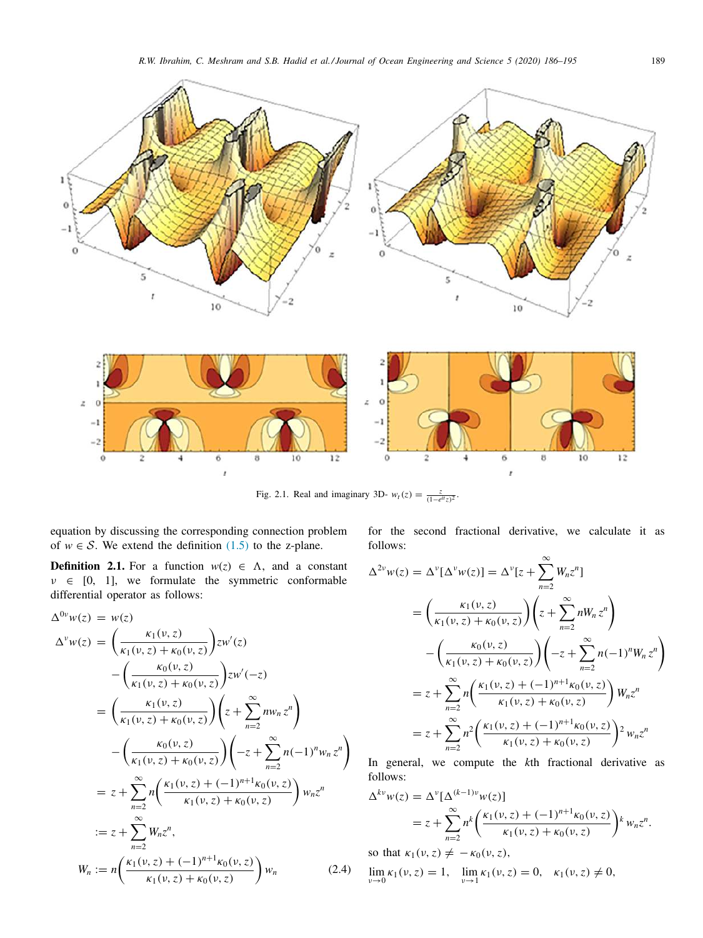

Fig. 2.1. Real and imaginary 3D-  $w_t(z) = \frac{z}{(1 - e^{it}z)^2}$ .

equation by discussing the corresponding connection problem of  $w \in S$ . We extend the definition (1.5) to the z-plane.

**Definition 2.1.** For a function  $w(z) \in \Lambda$ , and a constant  $v \in [0, 1]$ , we formulate the symmetric conformable differential operator as follows:

$$
\Delta^{0\nu} w(z) = w(z)
$$
  
\n
$$
\Delta^{\nu} w(z) = \left(\frac{\kappa_1(\nu, z)}{\kappa_1(\nu, z) + \kappa_0(\nu, z)}\right) z w'(z)
$$
  
\n
$$
- \left(\frac{\kappa_0(\nu, z)}{\kappa_1(\nu, z) + \kappa_0(\nu, z)}\right) z w'(-z)
$$
  
\n
$$
= \left(\frac{\kappa_1(\nu, z)}{\kappa_1(\nu, z) + \kappa_0(\nu, z)}\right) \left(z + \sum_{n=2}^{\infty} n w_n z^n\right)
$$
  
\n
$$
- \left(\frac{\kappa_0(\nu, z)}{\kappa_1(\nu, z) + \kappa_0(\nu, z)}\right) \left(-z + \sum_{n=2}^{\infty} n(-1)^n w_n z^n\right)
$$
  
\n
$$
= z + \sum_{n=2}^{\infty} n\left(\frac{\kappa_1(\nu, z) + (-1)^{n+1} \kappa_0(\nu, z)}{\kappa_1(\nu, z) + \kappa_0(\nu, z)}\right) w_n z^n
$$
  
\n
$$
:= z + \sum_{n=2}^{\infty} w_n z^n,
$$
  
\n
$$
W_n := n\left(\frac{\kappa_1(\nu, z) + (-1)^{n+1} \kappa_0(\nu, z)}{\kappa_1(\nu, z) + \kappa_0(\nu, z)}\right) w_n
$$
 (2.4)

for the second fractional derivative, we calculate it as follows:

$$
\Delta^{2\nu} w(z) = \Delta^{\nu} [\Delta^{\nu} w(z)] = \Delta^{\nu} [z + \sum_{n=2}^{\infty} W_n z^n]
$$
  
\n
$$
= \left(\frac{\kappa_1(\nu, z)}{\kappa_1(\nu, z) + \kappa_0(\nu, z)}\right) \left(z + \sum_{n=2}^{\infty} n W_n z^n\right)
$$
  
\n
$$
- \left(\frac{\kappa_0(\nu, z)}{\kappa_1(\nu, z) + \kappa_0(\nu, z)}\right) \left(-z + \sum_{n=2}^{\infty} n(-1)^n W_n z^n\right)
$$
  
\n
$$
= z + \sum_{n=2}^{\infty} n \left(\frac{\kappa_1(\nu, z) + (-1)^{n+1} \kappa_0(\nu, z)}{\kappa_1(\nu, z) + \kappa_0(\nu, z)}\right) W_n z^n
$$
  
\n
$$
= z + \sum_{n=2}^{\infty} n^2 \left(\frac{\kappa_1(\nu, z) + (-1)^{n+1} \kappa_0(\nu, z)}{\kappa_1(\nu, z) + \kappa_0(\nu, z)}\right)^2 w_n z^n
$$

In general, we compute the *k*th fractional derivative as follows:

$$
\Delta^{kv} w(z) = \Delta^v [\Delta^{(k-1)v} w(z)]
$$
  
=  $z + \sum_{n=2}^{\infty} n^k \bigg( \frac{\kappa_1(\nu, z) + (-1)^{n+1} \kappa_0(\nu, z)}{\kappa_1(\nu, z) + \kappa_0(\nu, z)} \bigg)^k w_n z^n.$ 

so that  $\kappa_1(\nu, z) \neq -\kappa_0(\nu, z)$ ,

$$
\lim_{\nu \to 0} \kappa_1(\nu, z) = 1, \quad \lim_{\nu \to 1} \kappa_1(\nu, z) = 0, \quad \kappa_1(\nu, z) \neq 0,
$$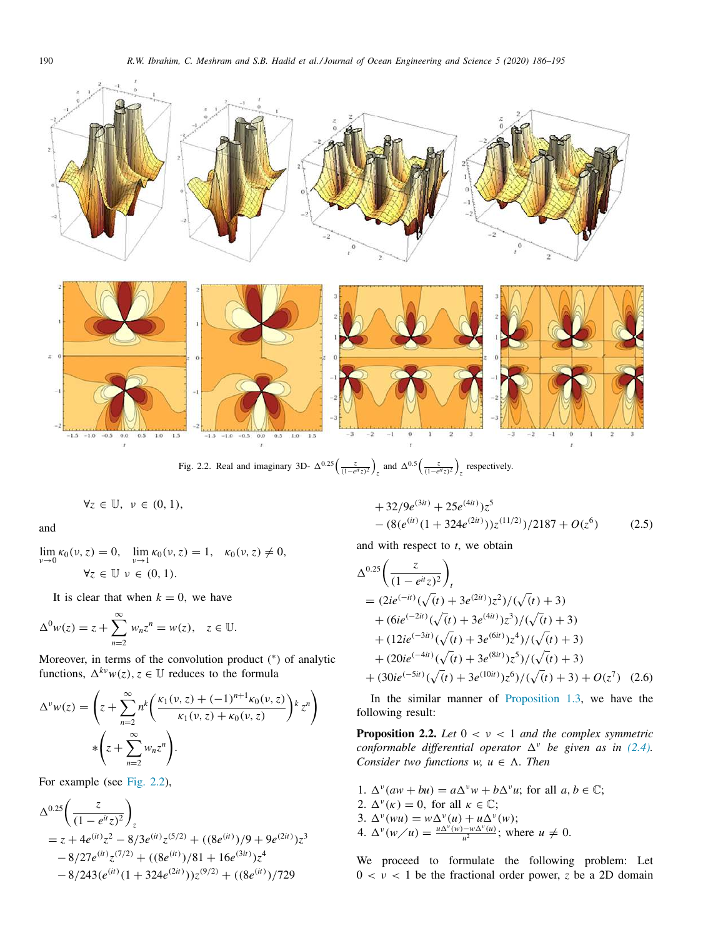

$$
\forall z \in \mathbb{U}, \ \nu \in (0,1),
$$

and

$$
\lim_{\nu \to 0} \kappa_0(\nu, z) = 0, \quad \lim_{\nu \to 1} \kappa_0(\nu, z) = 1, \quad \kappa_0(\nu, z) \neq 0, \n\forall z \in \mathbb{U} \quad \nu \in (0, 1).
$$

It is clear that when  $k = 0$ , we have

$$
\Delta^0 w(z) = z + \sum_{n=2}^{\infty} w_n z^n = w(z), \quad z \in \mathbb{U}.
$$

Moreover, in terms of the convolution product (\*) of analytic functions,  $\Delta^{kv}w(z)$ ,  $z \in \mathbb{U}$  reduces to the formula

$$
\Delta^v w(z) = \left( z + \sum_{n=2}^{\infty} n^k \left( \frac{\kappa_1(v, z) + (-1)^{n+1} \kappa_0(v, z)}{\kappa_1(v, z) + \kappa_0(v, z)} \right) \right) z^n
$$
  
 
$$
* \left( z + \sum_{n=2}^{\infty} w_n z^n \right).
$$

For example (see Fig. 2.2),

$$
\Delta^{0.25} \left( \frac{z}{(1 - e^{it} z)^2} \right)_z
$$
  
= z + 4e^{(it)} z^2 - 8/3e^{(it)} z^{(5/2)} + ((8e^{(it)})/9 + 9e^{(2it)}) z^3  
- 8/27e^{(it)} z^{(7/2)} + ((8e^{(it)})/81 + 16e^{(3it)}) z^4  
- 8/243(e^{(it)} (1 + 324e^{(2it)})) z^{(9/2)} + ((8e^{(it)})/729

+32/9
$$
e^{(3it)}
$$
 + 25 $e^{(4it)}$ ) $z^5$   
-(8( $e^{(it)}$ (1 + 324 $e^{(2it)}$ )) $z^{(11/2)}$ )/2187 +  $O(z^6)$  (2.5)

and with respect to *t*, we obtain

$$
\Delta^{0.25}\left(\frac{z}{(1-e^{it}z)^2}\right)_t
$$
\n=  $(2ie^{(-it)}(\sqrt{(t)}+3e^{(2it)})z^2)/(\sqrt{(t)}+3)$   
\n+  $(6ie^{(-2it)}(\sqrt{(t)}+3e^{(4it)})z^3)/(\sqrt{(t)}+3)$   
\n+  $(12ie^{(-3it)}(\sqrt{(t)}+3e^{(6it)})z^4)/(\sqrt{(t)}+3)$   
\n+  $(20ie^{(-4it)}(\sqrt{(t)}+3e^{(8it)})z^5)/(\sqrt{(t)}+3)$   
\n+  $(30ie^{(-5it)}(\sqrt{(t)}+3e^{(10it)})z^6)/(\sqrt{(t)}+3)+O(z^7)$  (2.6)

In the similar manner of Proposition 1.3, we have the following result:

**Proposition 2.2.** *Let*  $0 < v < 1$  *and the complex symmetric conformable differential operator*  $\Delta^{\nu}$  *be given as in (2.4). Consider two functions*  $w, u \in \Lambda$ *. Then* 

1.  $\Delta^{\nu}(aw + bu) = a\Delta^{\nu}w + b\Delta^{\nu}u$ ; for all  $a, b \in \mathbb{C}$ ; 2.  $\Delta^{\nu}(\kappa) = 0$ , for all  $\kappa \in \mathbb{C}$ ; 3.  $\Delta^{\nu}(wu) = w \Delta^{\nu}(u) + u \Delta^{\nu}(w);$ 4.  $\Delta^{\nu}(w \mid u) = \frac{u \Delta^{\nu}(w) - w \Delta^{\nu}(u)}{u^2}$ ; where  $u \neq 0$ .

We proceed to formulate the following problem: Let  $0 < v < 1$  be the fractional order power, *z* be a 2D domain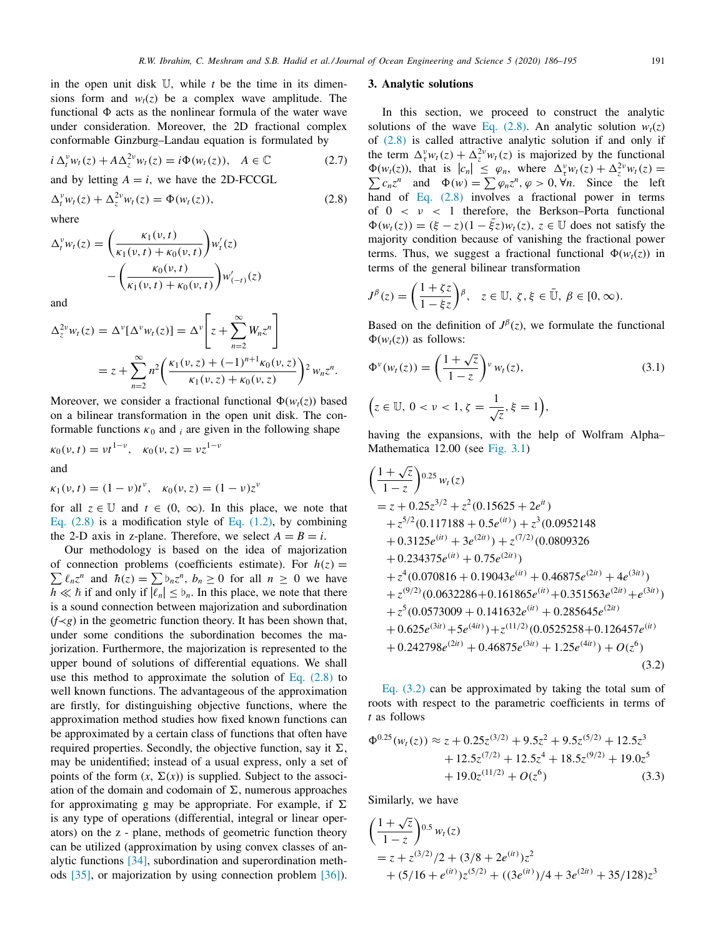in the open unit disk U, while *t* be the time in its dimensions form and  $w_t(z)$  be a complex wave amplitude. The functional  $\Phi$  acts as the nonlinear formula of the water wave under consideration. Moreover, the 2D fractional complex conformable Ginzburg–Landau equation is formulated by

$$
i \Delta_t^v w_t(z) + A \Delta_z^{2v} w_t(z) = i \Phi(w_t(z)), \quad A \in \mathbb{C}
$$
 (2.7)

and by letting  $A = i$ , we have the 2D-FCCGL

$$
\Delta_t^v w_t(z) + \Delta_z^{2v} w_t(z) = \Phi(w_t(z)),\tag{2.8}
$$

where

$$
\Delta_t^v w_t(z) = \left(\frac{\kappa_1(v,t)}{\kappa_1(v,t) + \kappa_0(v,t)}\right) w'_t(z) - \left(\frac{\kappa_0(v,t)}{\kappa_1(v,t) + \kappa_0(v,t)}\right) w'_{(-t)}(z)
$$

and

$$
\Delta_z^{2\nu} w_t(z) = \Delta^{\nu} [\Delta^{\nu} w_t(z)] = \Delta^{\nu} \left[ z + \sum_{n=2}^{\infty} W_n z^n \right]
$$
  
=  $z + \sum_{n=2}^{\infty} n^2 \left( \frac{\kappa_1(\nu, z) + (-1)^{n+1} \kappa_0(\nu, z)}{\kappa_1(\nu, z) + \kappa_0(\nu, z)} \right)^2 w_n z^n.$ 

Moreover, we consider a fractional functional  $\Phi(w_t(z))$  based on a bilinear transformation in the open unit disk. The conformable functions  $\kappa_0$  and *i* are given in the following shape

$$
\kappa_0(\nu, t) = \nu t^{1-\nu}, \quad \kappa_0(\nu, z) = \nu z^{1-\nu}
$$
  
and

$$
\kappa_1(\nu, t) = (1 - \nu)t^{\nu}, \quad \kappa_0(\nu, z) = (1 - \nu)z^{\nu}
$$

for all  $z \in \mathbb{U}$  and  $t \in (0, \infty)$ . In this place, we note that Eq.  $(2.8)$  is a modification style of Eq.  $(1.2)$ , by combining the 2-D axis in z-plane. Therefore, we select  $A = B = i$ .

Our methodology is based on the idea of majorization of connection problems (coefficients estimate). For  $h(z) = \sum_{n=0}^{\infty} a_n z^n$  $\sum_{n} \ell_n z^n$  and  $\hbar(z) = \sum_{n} b_n z^n$ ,  $b_n \ge 0$  for all  $n \ge 0$  we have  $h \ll \hbar$  if and only if  $\vert \overline{\ell_n} \vert \leq \mathfrak{b}_n$ . In this place, we note that there is a sound connection between majorization and subordination  $(f\prec g)$  in the geometric function theory. It has been shown that, under some conditions the subordination becomes the majorization. Furthermore, the majorization is represented to the upper bound of solutions of differential equations. We shall use this method to approximate the solution of Eq.  $(2.8)$  to well known functions. The advantageous of the approximation are firstly, for distinguishing objective functions, where the approximation method studies how fixed known functions can be approximated by a certain class of functions that often have required properties. Secondly, the objective function, say it  $\Sigma$ , may be unidentified; instead of a usual express, only a set of points of the form  $(x, \Sigma(x))$  is supplied. Subject to the association of the domain and codomain of  $\Sigma$ , numerous approaches for approximating g may be appropriate. For example, if  $\Sigma$ is any type of operations (differential, integral or linear operators) on the z - plane, methods of geometric function theory can be utilized (approximation by using convex classes of analytic functions [34], subordination and superordination methods [35], or majorization by using connection problem [36]).

#### **3. Analytic solutions**

In this section, we proceed to construct the analytic solutions of the wave Eq. (2.8). An analytic solution  $w_t(z)$ of (2.8) is called attractive analytic solution if and only if the term  $\Delta_{\tau}^{\nu} w_t(z) + \Delta_{z}^{2\nu} w_t(z)$  is majorized by the functional  $\Phi(w_t(z))$ , that is  $|c_n| \leq \varphi_n$ , where  $\Delta_\tau^v w_t(z) + \Delta_z^{2v} w_t(z) = \sum c_n z^n$  and  $\Phi(w) = \sum \varphi_n z^n$ ,  $\varphi > 0$ ,  $\forall n$ . Since the left hand of Eq. (2.8) involves a fractional power in terms of  $0 < v < 1$  therefore, the Berkson–Porta functional  $\Phi(w_t(z)) = (\xi - z)(1 - \bar{\xi}z)w_t(z), z \in \mathbb{U}$  does not satisfy the majority condition because of vanishing the fractional power terms. Thus, we suggest a fractional functional  $\Phi(w_t(z))$  in terms of the general bilinear transformation

$$
J^{\beta}(z) = \left(\frac{1+\zeta z}{1-\xi z}\right)^{\beta}, \quad z \in \mathbb{U}, \ \zeta, \xi \in \bar{\mathbb{U}}, \ \beta \in [0, \infty).
$$

Based on the definition of  $J^{\beta}(z)$ , we formulate the functional  $\Phi(w_t(z))$  as follows:

$$
\Phi^{\nu}(w_t(z)) = \left(\frac{1+\sqrt{z}}{1-z}\right)^{\nu} w_t(z),\tag{3.1}
$$

$$
(z \in \mathbb{U}, \, 0 < \nu < 1, \, \zeta = \frac{1}{\sqrt{z}}, \, \xi = 1\big),
$$

having the expansions, with the help of Wolfram Alpha– Mathematica 12.00 (see Fig. 3.1)

$$
\left(\frac{1+\sqrt{z}}{1-z}\right)^{0.25} w_t(z)
$$
\n= z + 0.25z<sup>3/2</sup> + z<sup>2</sup> (0.15625 + 2e<sup>it</sup>)  
\n+ z<sup>5/2</sup> (0.117188 + 0.5e<sup>(it)</sup>) + z<sup>3</sup> (0.0952148  
\n+ 0.3125e<sup>(it)</sup> + 3e<sup>(2it)</sup>) + z<sup>(7/2)</sup> (0.0809326  
\n+ 0.234375e<sup>(it)</sup> + 0.75e<sup>(2it)</sup>)  
\n+ z<sup>4</sup> (0.070816 + 0.19043e<sup>(it)</sup> + 0.46875e<sup>(2it)</sup> + 4e<sup>(3it)</sup>)  
\n+ z<sup>(9/2)</sup> (0.0632286 + 0.161865e<sup>(it)</sup> + 0.351563e<sup>(2it)</sup> + e<sup>(3it)</sup>)  
\n+ z<sup>5</sup> (0.0573009 + 0.141632e<sup>(it)</sup> + 0.285645e<sup>(2it)</sup>  
\n+ 0.625e<sup>(3it)</sup> + 5e<sup>(4it)</sup>) + z<sup>(11/2)</sup> (0.0525258 + 0.126457e<sup>(it)</sup>  
\n+ 0.242798e<sup>(2it)</sup> + 0.46875e<sup>(3it)</sup> + 1.25e<sup>(4it)</sup>) + O(z<sup>6</sup>)  
\n(3.2)

Eq. (3.2) can be approximated by taking the total sum of roots with respect to the parametric coefficients in terms of *t* as follows

$$
\Phi^{0.25}(w_t(z)) \approx z + 0.25z^{(3/2)} + 9.5z^2 + 9.5z^{(5/2)} + 12.5z^3 \n+ 12.5z^{(7/2)} + 12.5z^4 + 18.5z^{(9/2)} + 19.0z^5 \n+ 19.0z^{(11/2)} + O(z^6)
$$
\n(3.3)

Similarly, we have

$$
\left(\frac{1+\sqrt{z}}{1-z}\right)^{0.5} w_t(z)
$$
  
=  $z + z^{(3/2)}/2 + (3/8 + 2e^{(it)})z^2$   
+  $(5/16 + e^{(it)})z^{(5/2)} + ((3e^{(it)})/4 + 3e^{(2it)} + 35/128)z^3$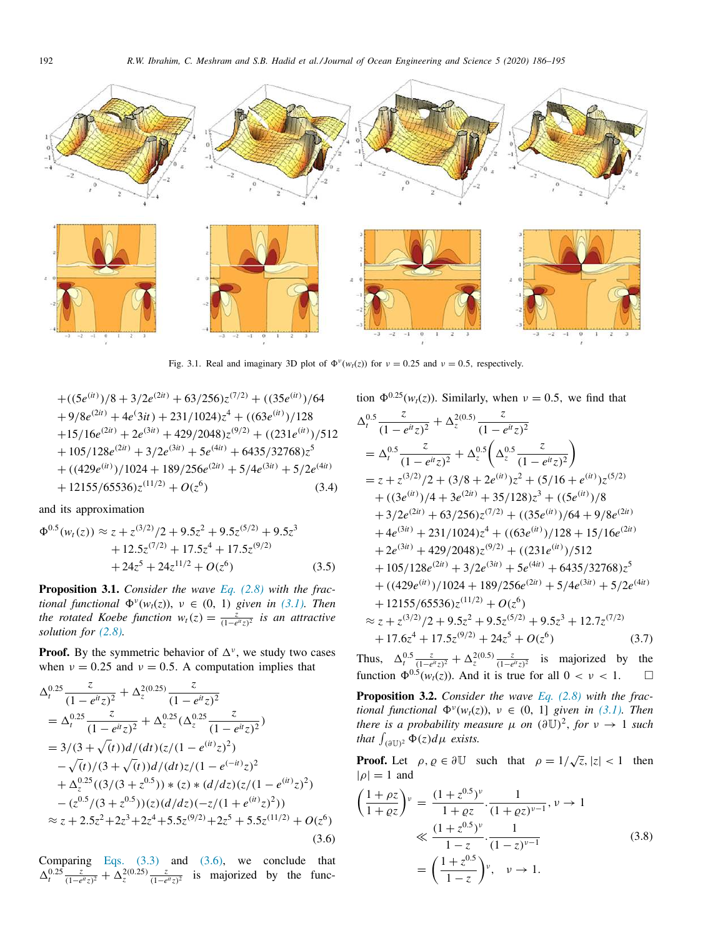

Fig. 3.1. Real and imaginary 3D plot of  $\Phi^{\nu}(w_t(z))$  for  $\nu = 0.25$  and  $\nu = 0.5$ , respectively.

$$
+((5e^{(it)})/8+3/2e^{(2it)}+63/256)z^{(7/2)}+((35e^{(it)})/64+9/8e^{(2it)}+4e^{(3it)}+231/1024)z^4+((63e^{(it)})/128+15/16e^{(2it)}+2e^{(3it)}+429/2048)z^{(9/2)}+((231e^{(it)})/512+105/128e^{(2it)}+3/2e^{(3it)}+5e^{(4it)}+6435/32768)z^5+((429e^{(it)})/1024+189/256e^{(2it)}+5/4e^{(3it)}+5/2e^{(4it)}+12155/65536)z^{(11/2)}+O(z^6)
$$
(3.4)

and its approximation

$$
\Phi^{0.5}(w_t(z)) \approx z + z^{(3/2)}/2 + 9.5z^2 + 9.5z^{(5/2)} + 9.5z^3
$$
  
+ 12.5z<sup>(7/2)</sup> + 17.5z<sup>4</sup> + 17.5z<sup>(9/2)</sup>  
+ 24z<sup>5</sup> + 24z<sup>11/2</sup> + O(z<sup>6</sup>) (3.5)

**Proposition 3.1.** *Consider the wave Eq. (2.8) with the fractional functional*  $\Phi^{\nu}(w_t(z))$ ,  $\nu \in (0, 1)$  *given in* (3.1). *Then the rotated Koebe function*  $w_t(z) = \frac{z}{(1-e^{it}z)^2}$  *is an attractive solution for (2.8).*

**Proof.** By the symmetric behavior of  $\Delta^{\nu}$ , we study two cases when  $v = 0.25$  and  $v = 0.5$ . A computation implies that

$$
\Delta_t^{0.25} \frac{z}{(1 - e^{it}z)^2} + \Delta_z^{2(0.25)} \frac{z}{(1 - e^{it}z)^2}
$$
\n
$$
= \Delta_t^{0.25} \frac{z}{(1 - e^{it}z)^2} + \Delta_z^{0.25} (\Delta_z^{0.25} \frac{z}{(1 - e^{it}z)^2})
$$
\n
$$
= 3/(3 + \sqrt{(t)})d/(dt)(z/(1 - e^{(it)}z)^2)
$$
\n
$$
- \sqrt{(t)}/(3 + \sqrt{(t)})d/(dt)z/(1 - e^{(-it)}z)^2
$$
\n
$$
+ \Delta_z^{0.25}((3/(3 + z^{0.5})) * (z) * (d/dz)(z/(1 - e^{(it)}z)^2)
$$
\n
$$
- (z^{0.5}/(3 + z^{0.5})) (z)(d/dz)(-z/(1 + e^{(it)}z)^2))
$$
\n
$$
\approx z + 2.5z^2 + 2z^3 + 2z^4 + 5.5z^{(9/2)} + 2z^5 + 5.5z^{(11/2)} + O(z^6)
$$
\n(3.6)

Comparing Eqs.  $(3.3)$  and  $(3.6)$ , we conclude that  $\Delta_t^{0.25} \frac{z}{(1-e^{it}z)^2} + \Delta_z^{2(0.25)} \frac{z}{(1-e^{it}z)^2}$  is majorized by the function  $\Phi^{0.25}(w_t(z))$ . Similarly, when  $v = 0.5$ , we find that

$$
\Delta_t^{0.5} \frac{z}{(1 - e^{it}z)^2} + \Delta_z^{2(0.5)} \frac{z}{(1 - e^{it}z)^2}
$$
\n
$$
= \Delta_t^{0.5} \frac{z}{(1 - e^{it}z)^2} + \Delta_z^{0.5} \left( \Delta_z^{0.5} \frac{z}{(1 - e^{it}z)^2} \right)
$$
\n
$$
= z + z^{(3/2)}/2 + (3/8 + 2e^{(it)})z^2 + (5/16 + e^{(it)})z^{(5/2)}
$$
\n
$$
+ ((3e^{(it)})/4 + 3e^{(2it)} + 35/128)z^3 + ((5e^{(it)})/8
$$
\n
$$
+ 3/2e^{(2it)} + 63/256)z^{(7/2)} + ((35e^{(it)})/64 + 9/8e^{(2it)}
$$
\n
$$
+ 4e^{(3it)} + 231/1024)z^4 + ((63e^{(it)})/128 + 15/16e^{(2it)}
$$
\n
$$
+ 2e^{(3it)} + 429/2048)z^{(9/2)} + ((231e^{(it)})/512
$$
\n
$$
+ 105/128e^{(2it)} + 3/2e^{(3it)} + 5e^{(4it)} + 6435/32768)z^5
$$
\n
$$
+ ((429e^{(it)})/1024 + 189/256e^{(2it)} + 5/4e^{(3it)} + 5/2e^{(4it)}
$$
\n
$$
+ 12155/65536)z^{(11/2)} + O(z^6)
$$
\n
$$
\approx z + z^{(3/2)}/2 + 9.5z^2 + 9.5z^{(5/2)} + 9.5z^3 + 12.7z^{(7/2)}
$$
\n
$$
+ 17.6z^4 + 17.5z^{(9/2)} + 24z^5 + O(z^6)
$$
\n(3.7)

Thus,  $\Delta_t^{0.5} \frac{z}{(1-e^{it}z)^2} + \Delta_z^{2(0.5)} \frac{z}{(1-e^{it}z)^2}$  is majorized by the function  $\Phi^{0.5}(w_t(z))$ . And it is true for all  $0 < v < 1$ .

**Proposition 3.2.** *Consider the wave Eq. (2.8) with the fractional functional*  $\Phi^{\nu}(w_t(z))$ ,  $\nu \in (0, 1]$  *given in* (3.1). *Then there is a probability measure*  $\mu$  *on*  $(\partial \mathbb{U})^2$ *, for*  $\nu \rightarrow 1$  *such that*  $\int_{(\partial \mathbb{U})^2} \Phi(z) d\mu$  *exists.* 

**Proof.** Let  $\rho, \rho \in \partial \mathbb{U}$  such that  $\rho = 1/\sqrt{z}, |z| < 1$  then  $|\rho| = 1$  and

$$
\left(\frac{1+\rho z}{1+\rho z}\right)^{\nu} = \frac{(1+z^{0.5})^{\nu}}{1+\rho z} \cdot \frac{1}{(1+\rho z)^{\nu-1}}, \nu \to 1
$$
\n
$$
\ll \frac{(1+z^{0.5})^{\nu}}{1-z} \cdot \frac{1}{(1-z)^{\nu-1}}
$$
\n
$$
= \left(\frac{1+z^{0.5}}{1-z}\right)^{\nu}, \quad \nu \to 1.
$$
\n(3.8)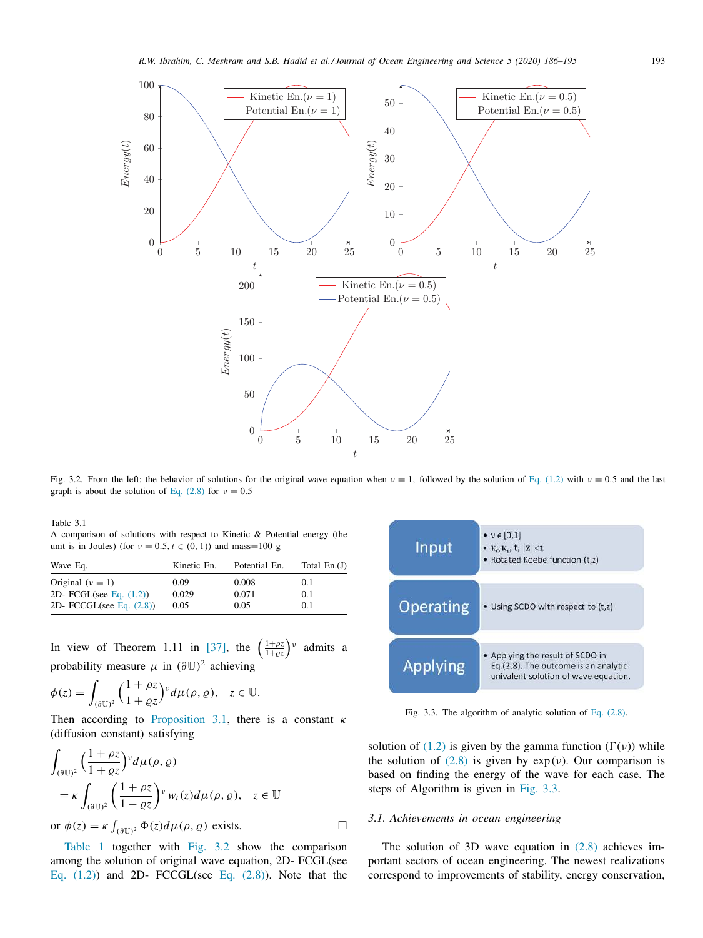

Fig. 3.2. From the left: the behavior of solutions for the original wave equation when  $v = 1$ , followed by the solution of Eq. (1.2) with  $v = 0.5$  and the last graph is about the solution of Eq. (2.8) for  $v = 0.5$ 

Table 3.1

A comparison of solutions with respect to Kinetic & Potential energy (the unit is in Joules) (for  $v = 0.5$ ,  $t \in (0, 1)$ ) and mass=100 g

| Kinetic En. | Potential En. | Total $En.(J)$ |
|-------------|---------------|----------------|
| 0.09        | 0.008         | 0.1            |
| 0.029       | 0.071         | 0.1            |
| 0.05        | 0.05          | 0.1            |
|             |               |                |

In view of Theorem 1.11 in [37], the  $\left(\frac{1+\rho z}{1+\rho z}\right)$ 1+̺*z*  $\big)$ <sup>v</sup> admits a probability measure  $\mu$  in  $(\partial \mathbb{U})^2$  achieving

$$
\phi(z) = \int_{(\partial \mathbb{U})^2} \left( \frac{1 + \rho z}{1 + \varrho z} \right)^{\nu} d\mu(\rho, \varrho), \quad z \in \mathbb{U}.
$$

Then according to Proposition 3.1, there is a constant  $\kappa$ (diffusion constant) satisfying

$$
\int_{(\partial \mathbb{U})^2} \left(\frac{1+\rho z}{1+\varrho z}\right)^{\nu} d\mu(\rho, \varrho)
$$
\n
$$
= \kappa \int_{(\partial \mathbb{U})^2} \left(\frac{1+\rho z}{1-\varrho z}\right)^{\nu} w_t(z) d\mu(\rho, \varrho), \quad z \in \mathbb{U}
$$
\nor  $\phi(z) = \kappa \int_{(\partial \mathbb{U})^2} \Phi(z) d\mu(\rho, \varrho)$  exists.

Table 1 together with Fig. 3.2 show the comparison among the solution of original wave equation, 2D- FCGL(see Eq.  $(1.2)$  and 2D- FCCGL(see Eq.  $(2.8)$ ). Note that the



Fig. 3.3. The algorithm of analytic solution of Eq. (2.8).

solution of (1.2) is given by the gamma function  $(\Gamma(\nu))$  while the solution of  $(2.8)$  is given by  $exp(v)$ . Our comparison is based on finding the energy of the wave for each case. The steps of Algorithm is given in Fig. 3.3.

#### *3.1. Achievements in ocean engineering*

The solution of 3D wave equation in  $(2.8)$  achieves important sectors of ocean engineering. The newest realizations correspond to improvements of stability, energy conservation,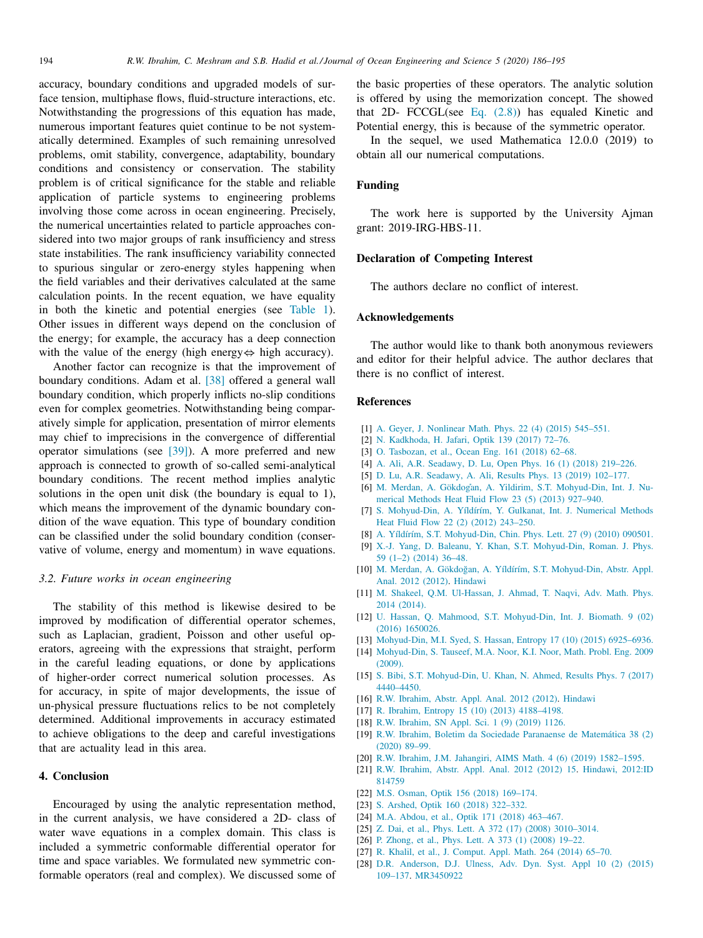accuracy, boundary conditions and upgraded models of surface tension, multiphase flows, fluid-structure interactions, etc. Notwithstanding the progressions of this equation has made, numerous important features quiet continue to be not systematically determined. Examples of such remaining unresolved problems, omit stability, convergence, adaptability, boundary conditions and consistency or conservation. The stability problem is of critical significance for the stable and reliable application of particle systems to engineering problems involving those come across in ocean engineering. Precisely, the numerical uncertainties related to particle approaches considered into two major groups of rank insufficiency and stress state instabilities. The rank insufficiency variability connected to spurious singular or zero-energy styles happening when the field variables and their derivatives calculated at the same calculation points. In the recent equation, we have equality in both the kinetic and potential energies (see Table 1). Other issues in different ways depend on the conclusion of the energy; for example, the accuracy has a deep connection with the value of the energy (high energy⇔ high accuracy).

Another factor can recognize is that the improvement of boundary conditions. Adam et al. [38] offered a general wall boundary condition, which properly inflicts no-slip conditions even for complex geometries. Notwithstanding being comparatively simple for application, presentation of mirror elements may chief to imprecisions in the convergence of differential operator simulations (see [39]). A more preferred and new approach is connected to growth of so-called semi-analytical boundary conditions. The recent method implies analytic solutions in the open unit disk (the boundary is equal to 1), which means the improvement of the dynamic boundary condition of the wave equation. This type of boundary condition can be classified under the solid boundary condition (conservative of volume, energy and momentum) in wave equations.

## *3.2. Future works in ocean engineering*

The stability of this method is likewise desired to be improved by modification of differential operator schemes, such as Laplacian, gradient, Poisson and other useful operators, agreeing with the expressions that straight, perform in the careful leading equations, or done by applications of higher-order correct numerical solution processes. As for accuracy, in spite of major developments, the issue of un-physical pressure fluctuations relics to be not completely determined. Additional improvements in accuracy estimated to achieve obligations to the deep and careful investigations that are actuality lead in this area.

## **4. Conclusion**

Encouraged by using the analytic representation method, in the current analysis, we have considered a 2D- class of water wave equations in a complex domain. This class is included a symmetric conformable differential operator for time and space variables. We formulated new symmetric conformable operators (real and complex). We discussed some of the basic properties of these operators. The analytic solution is offered by using the memorization concept. The showed that 2D- FCCGL(see Eq. (2.8)) has equaled Kinetic and Potential energy, this is because of the symmetric operator.

In the sequel, we used Mathematica 12.0.0 (2019) to obtain all our numerical computations.

## **Funding**

The work here is supported by the University Ajman grant: 2019-IRG-HBS-11.

#### **Declaration of Competing Interest**

The authors declare no conflict of interest.

# **Acknowledgements**

The author would like to thank both anonymous reviewers and editor for their helpful advice. The author declares that there is no conflict of interest.

#### **References**

- [1] A. Geyer, J. Nonlinear Math. Phys. 22 (4) (2015) 545–551.
- [2] N. Kadkhoda, H. Jafari, Optik 139 (2017) 72–76.
- [3] O. Tasbozan, et al., Ocean Eng. 161 (2018) 62–68.
- [4] A. Ali, A.R. Seadawy, D. Lu, Open Phys. 16 (1) (2018) 219–226.
- [5] D. Lu, A.R. Seadawy, A. Ali, Results Phys. 13 (2019) 102–177.
- [6] M. Merdan, A. Gökdogan, A. Yildirim, S.T. Mohyud-Din, Int. J. Numerical Methods Heat Fluid Flow 23 (5) (2013) 927–940.
- [7] S. Mohyud-Din, A. Yíldírím, Y. Gulkanat, Int. J. Numerical Methods Heat Fluid Flow 22 (2) (2012) 243–250.
- [8] A. Yíldírím, S.T. Mohyud-Din, Chin. Phys. Lett. 27 (9) (2010) 090501.
- [9] X.-J. Yang, D. Baleanu, Y. Khan, S.T. Mohyud-Din, Roman. J. Phys. 59 (1–2) (2014) 36–48.
- [10] M. Merdan, A. Gökdoğan, A. Yíldírím, S.T. Mohyud-Din, Abstr. Appl. Anal. 2012 (2012). Hindawi
- [11] M. Shakeel, Q.M. Ul-Hassan, J. Ahmad, T. Naqvi, Adv. Math. Phys. 2014 (2014).
- [12] U. Hassan, Q. Mahmood, S.T. Mohyud-Din, Int. J. Biomath. 9 (02) (2016) 1650026.
- [13] Mohyud-Din, M.I. Syed, S. Hassan, Entropy 17 (10) (2015) 6925-6936.
- [14] Mohyud-Din, S. Tauseef, M.A. Noor, K.I. Noor, Math. Probl. Eng. 2009  $(2009)$
- [15] S. Bibi, S.T. Mohyud-Din, U. Khan, N. Ahmed, Results Phys. 7 (2017) 4440–4450.
- [16] R.W. Ibrahim, Abstr. Appl. Anal. 2012 (2012). Hindawi
- [17] R. Ibrahim, Entropy 15 (10) (2013) 4188–4198.
- [18] R.W. Ibrahim, SN Appl. Sci. 1 (9) (2019) 1126.
- [19] R.W. Ibrahim, Boletim da Sociedade Paranaense de Matemática 38 (2) (2020) 89–99.
- [20] R.W. Ibrahim, J.M. Jahangiri, AIMS Math. 4 (6) (2019) 1582-1595.
- [21] R.W. Ibrahim, Abstr. Appl. Anal. 2012 (2012) 15. Hindawi, 2012:ID 814759
- [22] M.S. Osman, Optik 156 (2018) 169–174.
- [23] S. Arshed, Optik 160 (2018) 322-332.
- [24] M.A. Abdou, et al., Optik 171 (2018) 463–467.
- [25] Z. Dai, et al., Phys. Lett. A 372 (17) (2008) 3010-3014.
- [26] P. Zhong, et al., Phys. Lett. A 373 (1) (2008) 19-22.
- [27] R. Khalil, et al., J. Comput. Appl. Math. 264 (2014) 65–70.
- [28] D.R. Anderson, D.J. Ulness, Adv. Dyn. Syst. Appl 10 (2) (2015) 109–137. MR3450922